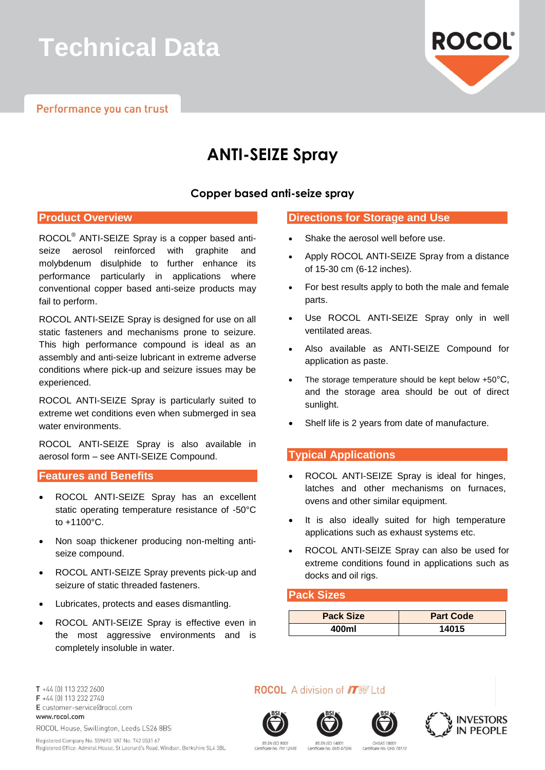# **Technical Data**



# **ANTI-SEIZE Spray**

### **Copper based anti-seize spray**

#### **Product Overview**

ROCOL® ANTI-SEIZE Spray is a copper based antiseize aerosol reinforced with graphite and molybdenum disulphide to further enhance its performance particularly in applications where conventional copper based anti-seize products may fail to perform.

ROCOL ANTI-SEIZE Spray is designed for use on all static fasteners and mechanisms prone to seizure. This high performance compound is ideal as an assembly and anti-seize lubricant in extreme adverse conditions where pick-up and seizure issues may be experienced.

ROCOL ANTI-SEIZE Spray is particularly suited to extreme wet conditions even when submerged in sea water environments.

ROCOL ANTI-SEIZE Spray is also available in aerosol form – see ANTI-SEIZE Compound.

### **Features and Benefits**

- ROCOL ANTI-SEIZE Spray has an excellent static operating temperature resistance of -50°C to +1100°C.
- Non soap thickener producing non-melting antiseize compound.
- ROCOL ANTI-SEIZE Spray prevents pick-up and seizure of static threaded fasteners.
- Lubricates, protects and eases dismantling.
- ROCOL ANTI-SEIZE Spray is effective even in the most aggressive environments and is completely insoluble in water.

### **Directions for Storage and Use**

- Shake the aerosol well before use.
- Apply ROCOL ANTI-SEIZE Spray from a distance of 15-30 cm (6-12 inches).
- For best results apply to both the male and female parts.
- Use ROCOL ANTI-SEIZE Spray only in well ventilated areas.
- Also available as ANTI-SEIZE Compound for application as paste.
- The storage temperature should be kept below +50°C, and the storage area should be out of direct sunlight.
- Shelf life is 2 years from date of manufacture.

### **Typical Applications**

- ROCOL ANTI-SEIZE Spray is ideal for hinges, latches and other mechanisms on furnaces, ovens and other similar equipment.
- It is also ideally suited for high temperature applications such as exhaust systems etc.
- ROCOL ANTI-SEIZE Spray can also be used for extreme conditions found in applications such as docks and oil rigs.

#### **Pack Sizes**

| <b>Pack Size</b> | <b>Part Code</b> |
|------------------|------------------|
| 400ml            | 14015            |

T +44 [0] 113 232 2600 F +44 (0) 113 232 2740 E customer-service@rocol.com www.rocol.com ROCOL House, Swillington, Leeds LS26 8BS

Registered Company No. 559693 VAT No. 742 0531 67 Registered Office: Admiral House, St Leonard's Road, Windsor, Berkshire SL4 3BL **ROCOL** A division of **ITW** Ltd









BS EN ISO 900 te No. FM 12448 **BS EN ISO 14001** OHSAS 1800 icate No. EMS 67596 Certificate No. OHS 78173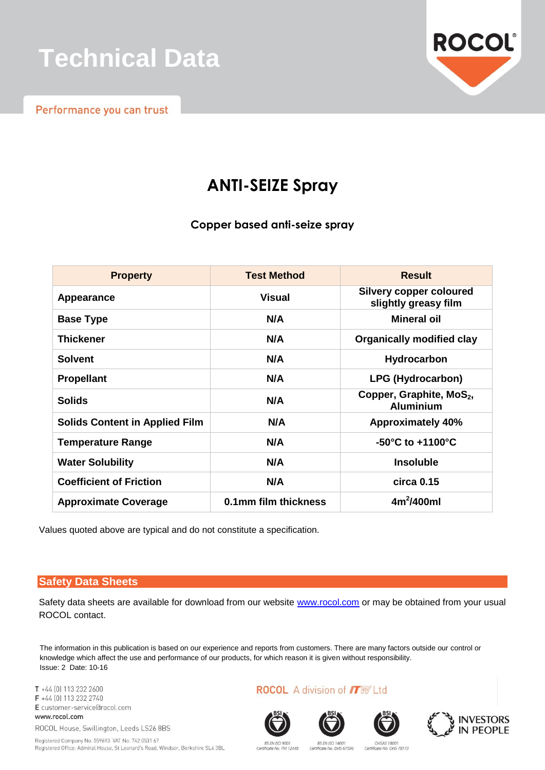

Performance you can trust



## **ANTI-SEIZE Spray**

**Copper based anti-seize spray**

| <b>Property</b>                       | <b>Test Method</b>   | <b>Result</b>                                            |
|---------------------------------------|----------------------|----------------------------------------------------------|
| Appearance                            | <b>Visual</b>        | <b>Silvery copper coloured</b><br>slightly greasy film   |
| <b>Base Type</b>                      | N/A                  | Mineral oil                                              |
| <b>Thickener</b>                      | N/A                  | <b>Organically modified clay</b>                         |
| <b>Solvent</b>                        | N/A                  | Hydrocarbon                                              |
| <b>Propellant</b>                     | N/A                  | LPG (Hydrocarbon)                                        |
| <b>Solids</b>                         | N/A                  | Copper, Graphite, MoS <sub>2</sub> ,<br><b>Aluminium</b> |
| <b>Solids Content in Applied Film</b> | N/A                  | <b>Approximately 40%</b>                                 |
| <b>Temperature Range</b>              | N/A                  | $-50^{\circ}$ C to $+1100^{\circ}$ C                     |
| <b>Water Solubility</b>               | N/A                  | <b>Insoluble</b>                                         |
| <b>Coefficient of Friction</b>        | N/A                  | $circa$ 0.15                                             |
| <b>Approximate Coverage</b>           | 0.1mm film thickness | $4m^2/400ml$                                             |

Values quoted above are typical and do not constitute a specification.

### **Safety Data Sheets**

Safety data sheets are available for download from our website [www.rocol.com](http://www.rocol.com/) or may be obtained from your usual ROCOL contact.

The information in this publication is based on our experience and reports from customers. There are many factors outside our control or knowledge which affect the use and performance of our products, for which reason it is given without responsibility. Issue: 2 Date: 10-16

T +44 [0] 113 232 2600 F +44 (0) 113 232 2740 E customer-service@rocol.com www.rocol.com

ROCOL House, Swillington, Leeds LS26 8BS

Registered Company No. 559693 VAT No. 742 0531 67 Registered Office: Admiral House, St Leonard's Road, Windsor, Berkshire SL4 3BL **ROCOL** A division of **ITW** Ltd









BS EN ISO 900 Certificate No. FM 12448

**BS EN ISO 1400** Certificate No. EMS 67596 Certificate No. OHS 78173